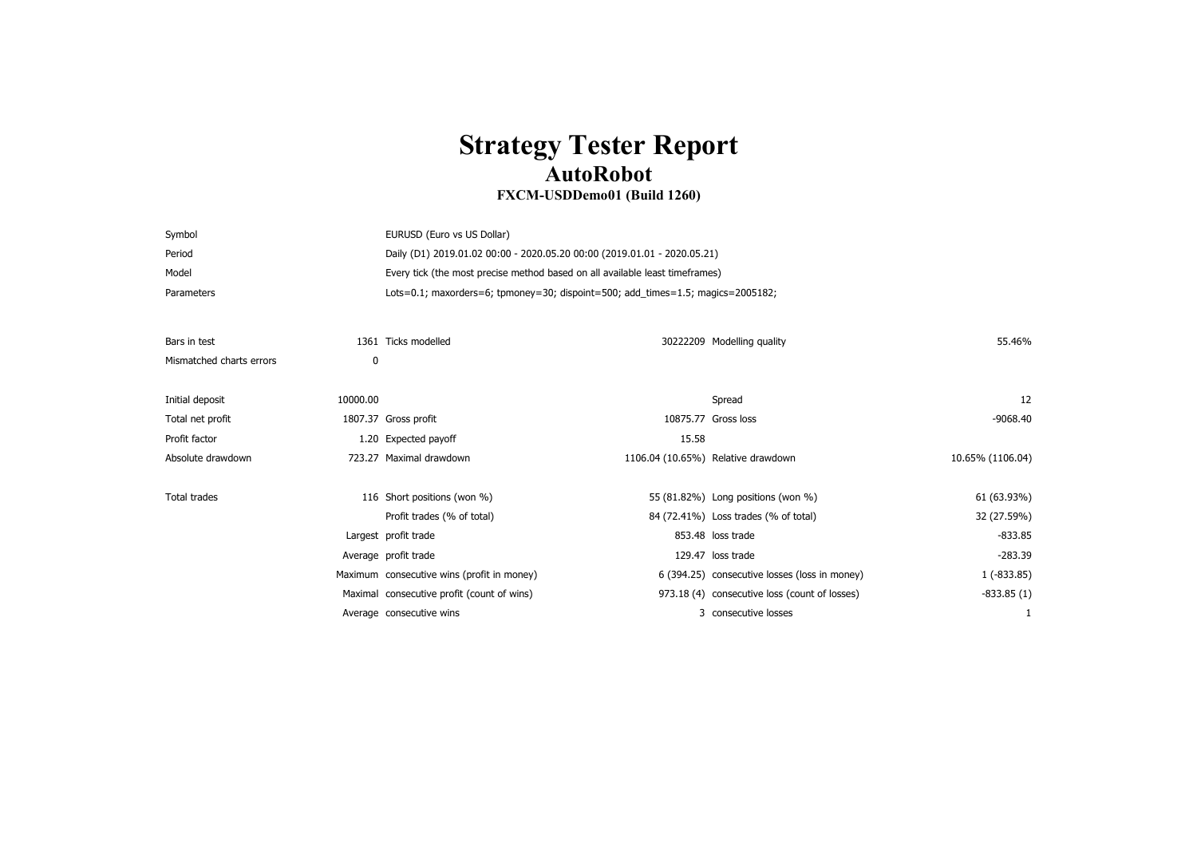## **Strategy Tester Report AutoRobot**

## **FXCM-USDDemo01 (Build 1260)**

| Symbol                   |          | EURUSD (Euro vs US Dollar)                                                      |                                    |                                               |                  |  |
|--------------------------|----------|---------------------------------------------------------------------------------|------------------------------------|-----------------------------------------------|------------------|--|
| Period                   |          | Daily (D1) 2019.01.02 00:00 - 2020.05.20 00:00 (2019.01.01 - 2020.05.21)        |                                    |                                               |                  |  |
| Model                    |          | Every tick (the most precise method based on all available least timeframes)    |                                    |                                               |                  |  |
| Parameters               |          | Lots=0.1; maxorders=6; tpmoney=30; dispoint=500; add_times=1.5; magics=2005182; |                                    |                                               |                  |  |
|                          |          |                                                                                 |                                    |                                               |                  |  |
| Bars in test             |          | 1361 Ticks modelled                                                             |                                    | 30222209 Modelling quality                    | 55.46%           |  |
| Mismatched charts errors | 0        |                                                                                 |                                    |                                               |                  |  |
|                          |          |                                                                                 |                                    |                                               |                  |  |
| Initial deposit          | 10000.00 |                                                                                 |                                    | Spread                                        | 12               |  |
| Total net profit         |          | 1807.37 Gross profit                                                            |                                    | 10875.77 Gross loss                           | -9068.40         |  |
| Profit factor            |          | 1.20 Expected payoff                                                            | 15.58                              |                                               |                  |  |
| Absolute drawdown        |          | 723.27 Maximal drawdown                                                         | 1106.04 (10.65%) Relative drawdown |                                               | 10.65% (1106.04) |  |
|                          |          |                                                                                 |                                    |                                               |                  |  |
| <b>Total trades</b>      |          | 116 Short positions (won %)                                                     |                                    | 55 (81.82%) Long positions (won %)            | 61 (63.93%)      |  |
|                          |          | Profit trades (% of total)                                                      |                                    | 84 (72.41%) Loss trades (% of total)          | 32 (27.59%)      |  |
|                          |          | Largest profit trade                                                            |                                    | 853.48 loss trade                             | $-833.85$        |  |
|                          |          | Average profit trade                                                            |                                    | 129.47 loss trade                             | $-283.39$        |  |
|                          |          | Maximum consecutive wins (profit in money)                                      |                                    | 6 (394.25) consecutive losses (loss in money) | $1(-833.85)$     |  |
|                          |          | Maximal consecutive profit (count of wins)                                      |                                    | 973.18 (4) consecutive loss (count of losses) | $-833.85(1)$     |  |
|                          |          | Average consecutive wins                                                        |                                    | 3 consecutive losses                          |                  |  |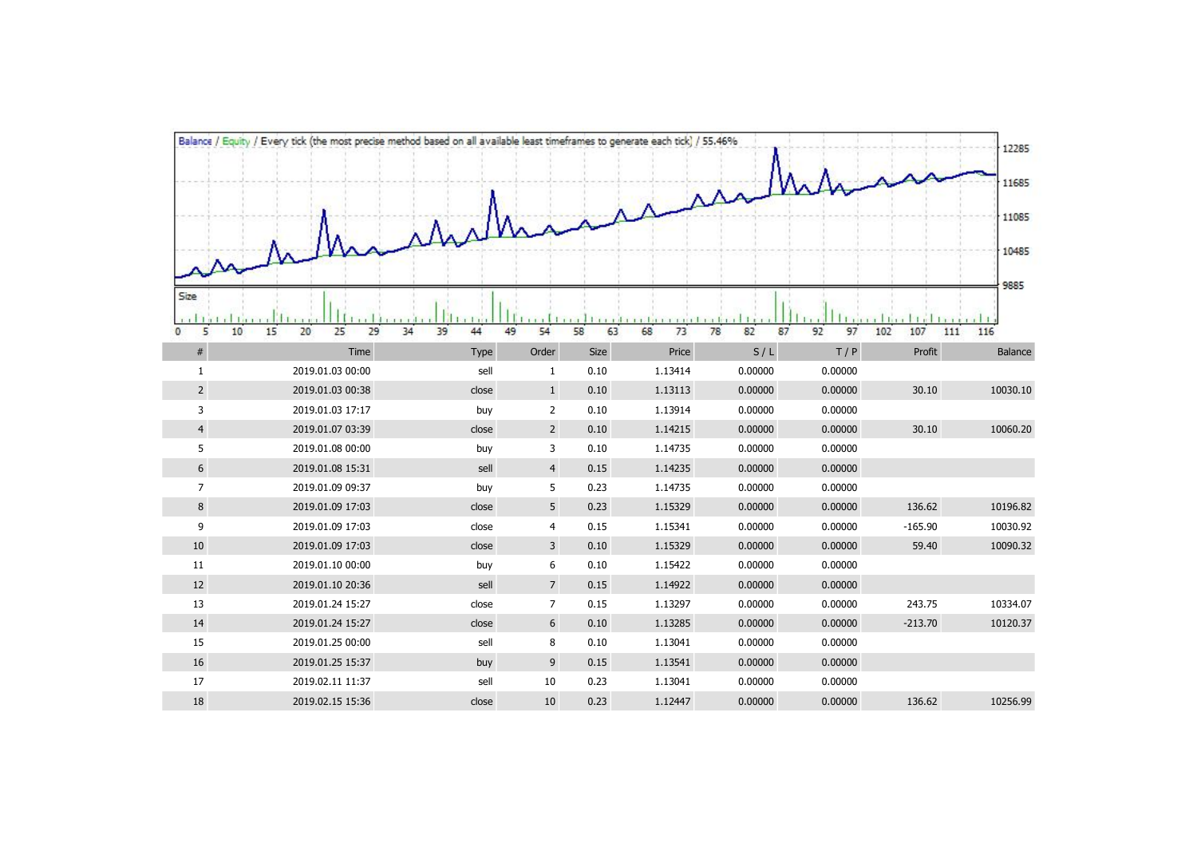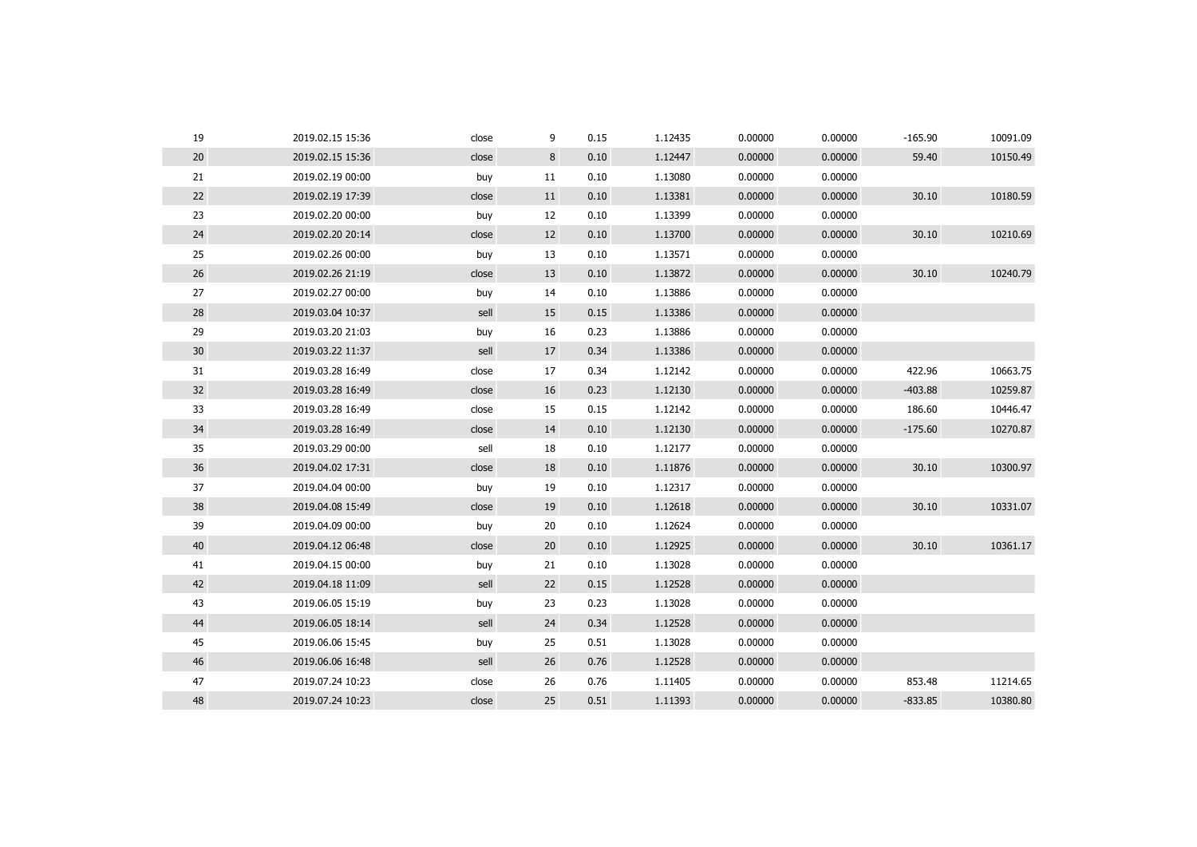| 19              | 2019.02.15 15:36 | close | 9  | 0.15 | 1.12435 | 0.00000 | 0.00000 | $-165.90$ | 10091.09 |
|-----------------|------------------|-------|----|------|---------|---------|---------|-----------|----------|
| 20              | 2019.02.15 15:36 | close | 8  | 0.10 | 1.12447 | 0.00000 | 0.00000 | 59.40     | 10150.49 |
| 21              | 2019.02.19 00:00 | buy   | 11 | 0.10 | 1.13080 | 0.00000 | 0.00000 |           |          |
| 22              | 2019.02.19 17:39 | close | 11 | 0.10 | 1.13381 | 0.00000 | 0.00000 | 30.10     | 10180.59 |
| 23              | 2019.02.20 00:00 | buy   | 12 | 0.10 | 1.13399 | 0.00000 | 0.00000 |           |          |
| 24              | 2019.02.20 20:14 | close | 12 | 0.10 | 1.13700 | 0.00000 | 0.00000 | 30.10     | 10210.69 |
| 25              | 2019.02.26 00:00 | buy   | 13 | 0.10 | 1.13571 | 0.00000 | 0.00000 |           |          |
| 26              | 2019.02.26 21:19 | close | 13 | 0.10 | 1.13872 | 0.00000 | 0.00000 | 30.10     | 10240.79 |
| 27              | 2019.02.27 00:00 | buy   | 14 | 0.10 | 1.13886 | 0.00000 | 0.00000 |           |          |
| 28              | 2019.03.04 10:37 | sell  | 15 | 0.15 | 1.13386 | 0.00000 | 0.00000 |           |          |
| 29              | 2019.03.20 21:03 | buy   | 16 | 0.23 | 1.13886 | 0.00000 | 0.00000 |           |          |
| 30 <sup>°</sup> | 2019.03.22 11:37 | sell  | 17 | 0.34 | 1.13386 | 0.00000 | 0.00000 |           |          |
| 31              | 2019.03.28 16:49 | close | 17 | 0.34 | 1.12142 | 0.00000 | 0.00000 | 422.96    | 10663.75 |
| 32              | 2019.03.28 16:49 | close | 16 | 0.23 | 1.12130 | 0.00000 | 0.00000 | $-403.88$ | 10259.87 |
| 33              | 2019.03.28 16:49 | close | 15 | 0.15 | 1.12142 | 0.00000 | 0.00000 | 186.60    | 10446.47 |
| 34              | 2019.03.28 16:49 | close | 14 | 0.10 | 1.12130 | 0.00000 | 0.00000 | $-175.60$ | 10270.87 |
| 35              | 2019.03.29 00:00 | sell  | 18 | 0.10 | 1.12177 | 0.00000 | 0.00000 |           |          |
| 36              | 2019.04.02 17:31 | close | 18 | 0.10 | 1.11876 | 0.00000 | 0.00000 | 30.10     | 10300.97 |
| 37              | 2019.04.04 00:00 | buy   | 19 | 0.10 | 1.12317 | 0.00000 | 0.00000 |           |          |
| 38              | 2019.04.08 15:49 | close | 19 | 0.10 | 1.12618 | 0.00000 | 0.00000 | 30.10     | 10331.07 |
| 39              | 2019.04.09 00:00 | buy   | 20 | 0.10 | 1.12624 | 0.00000 | 0.00000 |           |          |
| 40              | 2019.04.12 06:48 | close | 20 | 0.10 | 1.12925 | 0.00000 | 0.00000 | 30.10     | 10361.17 |
| 41              | 2019.04.15 00:00 | buy   | 21 | 0.10 | 1.13028 | 0.00000 | 0.00000 |           |          |
| 42              | 2019.04.18 11:09 | sell  | 22 | 0.15 | 1.12528 | 0.00000 | 0.00000 |           |          |
| 43              | 2019.06.05 15:19 | buy   | 23 | 0.23 | 1.13028 | 0.00000 | 0.00000 |           |          |
| 44              | 2019.06.05 18:14 | sell  | 24 | 0.34 | 1.12528 | 0.00000 | 0.00000 |           |          |
| 45              | 2019.06.06 15:45 | buy   | 25 | 0.51 | 1.13028 | 0.00000 | 0.00000 |           |          |
| 46              | 2019.06.06 16:48 | sell  | 26 | 0.76 | 1.12528 | 0.00000 | 0.00000 |           |          |
| 47              | 2019.07.24 10:23 | close | 26 | 0.76 | 1.11405 | 0.00000 | 0.00000 | 853.48    | 11214.65 |
| 48              | 2019.07.24 10:23 | close | 25 | 0.51 | 1.11393 | 0.00000 | 0.00000 | $-833.85$ | 10380.80 |
|                 |                  |       |    |      |         |         |         |           |          |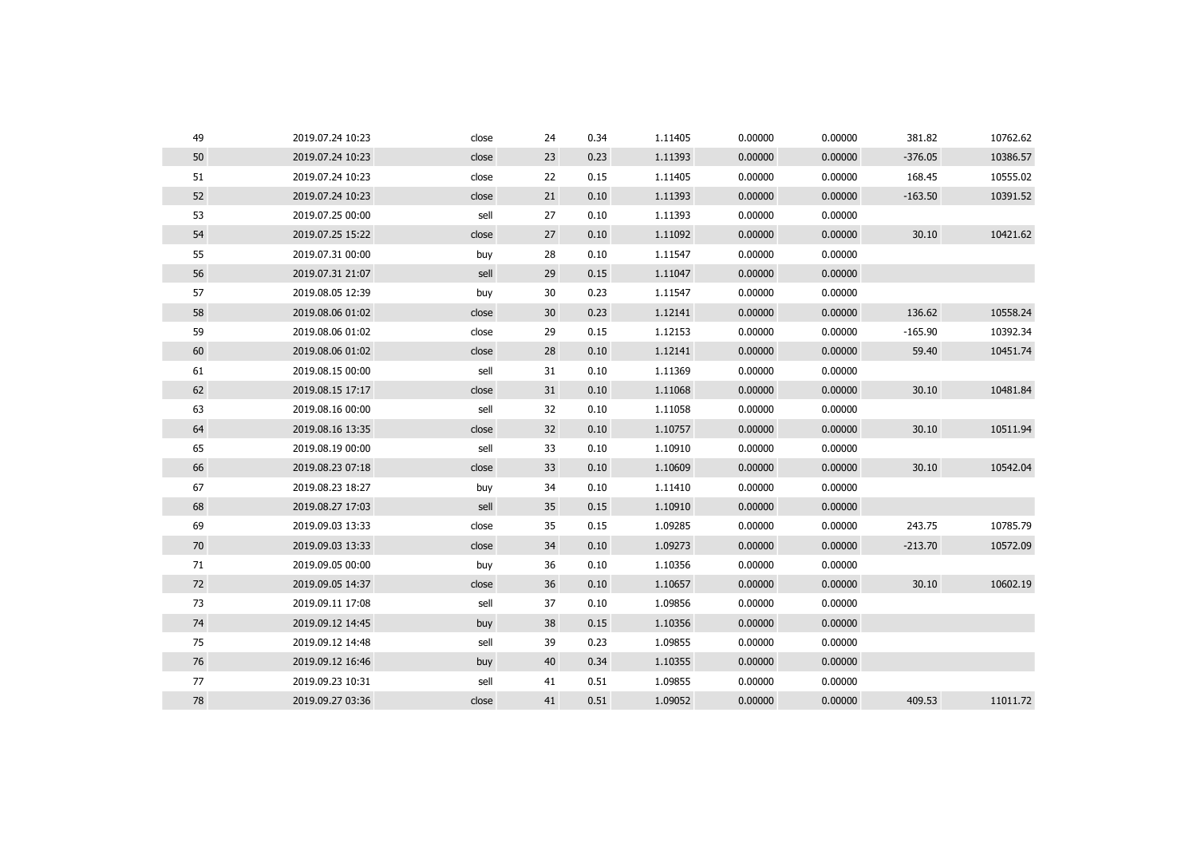| 49 | 2019.07.24 10:23 | close | 24 | 0.34 | 1.11405 | 0.00000 | 0.00000 | 381.82    | 10762.62 |
|----|------------------|-------|----|------|---------|---------|---------|-----------|----------|
| 50 | 2019.07.24 10:23 | close | 23 | 0.23 | 1.11393 | 0.00000 | 0.00000 | $-376.05$ | 10386.57 |
| 51 | 2019.07.24 10:23 | close | 22 | 0.15 | 1.11405 | 0.00000 | 0.00000 | 168.45    | 10555.02 |
| 52 | 2019.07.24 10:23 | close | 21 | 0.10 | 1.11393 | 0.00000 | 0.00000 | $-163.50$ | 10391.52 |
| 53 | 2019.07.25 00:00 | sell  | 27 | 0.10 | 1.11393 | 0.00000 | 0.00000 |           |          |
| 54 | 2019.07.25 15:22 | close | 27 | 0.10 | 1.11092 | 0.00000 | 0.00000 | 30.10     | 10421.62 |
| 55 | 2019.07.31 00:00 | buy   | 28 | 0.10 | 1.11547 | 0.00000 | 0.00000 |           |          |
| 56 | 2019.07.31 21:07 | sell  | 29 | 0.15 | 1.11047 | 0.00000 | 0.00000 |           |          |
| 57 | 2019.08.05 12:39 | buy   | 30 | 0.23 | 1.11547 | 0.00000 | 0.00000 |           |          |
| 58 | 2019.08.06 01:02 | close | 30 | 0.23 | 1.12141 | 0.00000 | 0.00000 | 136.62    | 10558.24 |
| 59 | 2019.08.06 01:02 | close | 29 | 0.15 | 1.12153 | 0.00000 | 0.00000 | $-165.90$ | 10392.34 |
| 60 | 2019.08.06 01:02 | close | 28 | 0.10 | 1.12141 | 0.00000 | 0.00000 | 59.40     | 10451.74 |
| 61 | 2019.08.15 00:00 | sell  | 31 | 0.10 | 1.11369 | 0.00000 | 0.00000 |           |          |
| 62 | 2019.08.15 17:17 | close | 31 | 0.10 | 1.11068 | 0.00000 | 0.00000 | 30.10     | 10481.84 |
| 63 | 2019.08.16 00:00 | sell  | 32 | 0.10 | 1.11058 | 0.00000 | 0.00000 |           |          |
| 64 | 2019.08.16 13:35 | close | 32 | 0.10 | 1.10757 | 0.00000 | 0.00000 | 30.10     | 10511.94 |
| 65 | 2019.08.19 00:00 | sell  | 33 | 0.10 | 1.10910 | 0.00000 | 0.00000 |           |          |
| 66 | 2019.08.23 07:18 | close | 33 | 0.10 | 1.10609 | 0.00000 | 0.00000 | 30.10     | 10542.04 |
| 67 | 2019.08.23 18:27 | buy   | 34 | 0.10 | 1.11410 | 0.00000 | 0.00000 |           |          |
| 68 | 2019.08.27 17:03 | sell  | 35 | 0.15 | 1.10910 | 0.00000 | 0.00000 |           |          |
| 69 | 2019.09.03 13:33 | close | 35 | 0.15 | 1.09285 | 0.00000 | 0.00000 | 243.75    | 10785.79 |
| 70 | 2019.09.03 13:33 | close | 34 | 0.10 | 1.09273 | 0.00000 | 0.00000 | $-213.70$ | 10572.09 |
| 71 | 2019.09.05 00:00 | buy   | 36 | 0.10 | 1.10356 | 0.00000 | 0.00000 |           |          |
| 72 | 2019.09.05 14:37 | close | 36 | 0.10 | 1.10657 | 0.00000 | 0.00000 | 30.10     | 10602.19 |
| 73 | 2019.09.11 17:08 | sell  | 37 | 0.10 | 1.09856 | 0.00000 | 0.00000 |           |          |
| 74 | 2019.09.12 14:45 | buy   | 38 | 0.15 | 1.10356 | 0.00000 | 0.00000 |           |          |
| 75 | 2019.09.12 14:48 | sell  | 39 | 0.23 | 1.09855 | 0.00000 | 0.00000 |           |          |
| 76 | 2019.09.12 16:46 | buy   | 40 | 0.34 | 1.10355 | 0.00000 | 0.00000 |           |          |
| 77 | 2019.09.23 10:31 | sell  | 41 | 0.51 | 1.09855 | 0.00000 | 0.00000 |           |          |
| 78 | 2019.09.27 03:36 | close | 41 | 0.51 | 1.09052 | 0.00000 | 0.00000 | 409.53    | 11011.72 |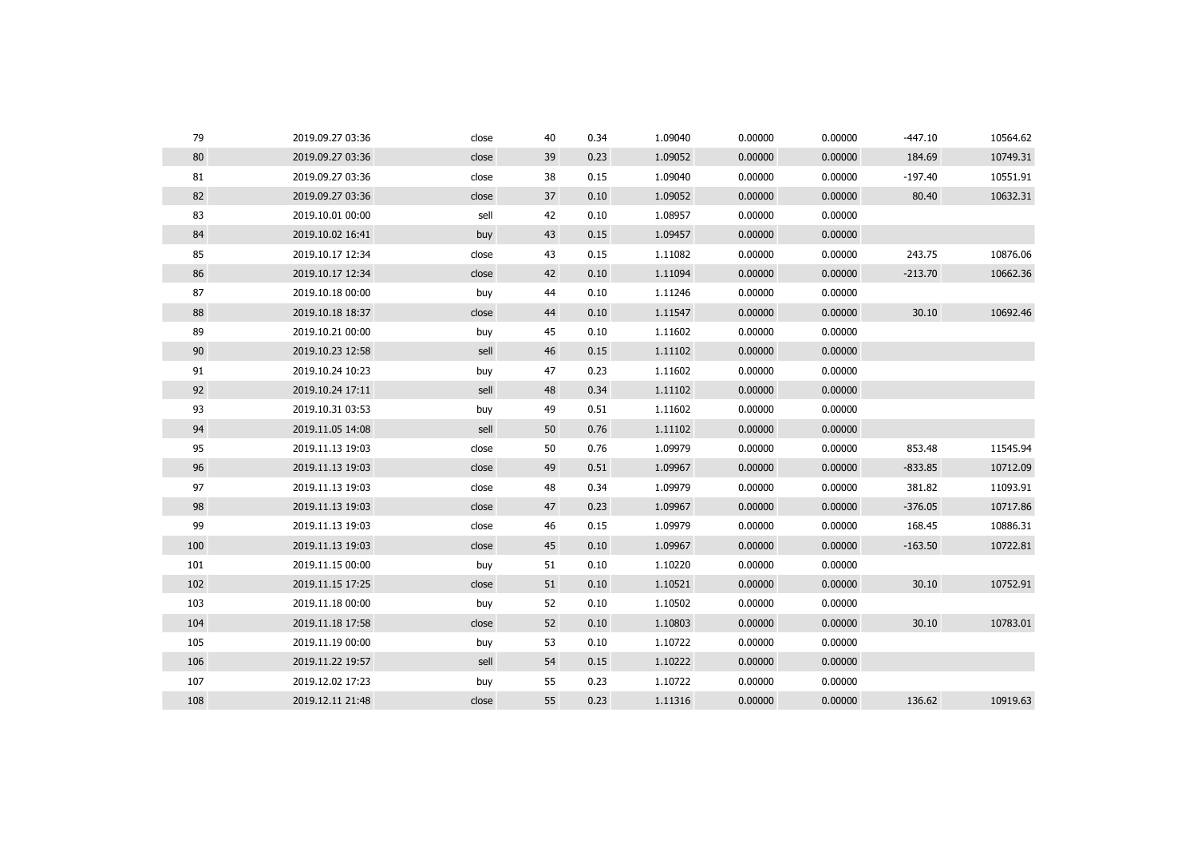| 79     | 2019.09.27 03:36 | close | 40 | 0.34 | 1.09040 | 0.00000 | 0.00000 | $-447.10$ | 10564.62 |
|--------|------------------|-------|----|------|---------|---------|---------|-----------|----------|
| $80\,$ | 2019.09.27 03:36 | close | 39 | 0.23 | 1.09052 | 0.00000 | 0.00000 | 184.69    | 10749.31 |
| 81     | 2019.09.27 03:36 | close | 38 | 0.15 | 1.09040 | 0.00000 | 0.00000 | $-197.40$ | 10551.91 |
| 82     | 2019.09.27 03:36 | close | 37 | 0.10 | 1.09052 | 0.00000 | 0.00000 | 80.40     | 10632.31 |
| 83     | 2019.10.01 00:00 | sell  | 42 | 0.10 | 1.08957 | 0.00000 | 0.00000 |           |          |
| 84     | 2019.10.02 16:41 | buy   | 43 | 0.15 | 1.09457 | 0.00000 | 0.00000 |           |          |
| 85     | 2019.10.17 12:34 | close | 43 | 0.15 | 1.11082 | 0.00000 | 0.00000 | 243.75    | 10876.06 |
| 86     | 2019.10.17 12:34 | close | 42 | 0.10 | 1.11094 | 0.00000 | 0.00000 | $-213.70$ | 10662.36 |
| 87     | 2019.10.18 00:00 | buy   | 44 | 0.10 | 1.11246 | 0.00000 | 0.00000 |           |          |
| 88     | 2019.10.18 18:37 | close | 44 | 0.10 | 1.11547 | 0.00000 | 0.00000 | 30.10     | 10692.46 |
| 89     | 2019.10.21 00:00 | buy   | 45 | 0.10 | 1.11602 | 0.00000 | 0.00000 |           |          |
| 90     | 2019.10.23 12:58 | sell  | 46 | 0.15 | 1.11102 | 0.00000 | 0.00000 |           |          |
| 91     | 2019.10.24 10:23 | buy   | 47 | 0.23 | 1.11602 | 0.00000 | 0.00000 |           |          |
| 92     | 2019.10.24 17:11 | sell  | 48 | 0.34 | 1.11102 | 0.00000 | 0.00000 |           |          |
| 93     | 2019.10.31 03:53 | buy   | 49 | 0.51 | 1.11602 | 0.00000 | 0.00000 |           |          |
| 94     | 2019.11.05 14:08 | sell  | 50 | 0.76 | 1.11102 | 0.00000 | 0.00000 |           |          |
| 95     | 2019.11.13 19:03 | close | 50 | 0.76 | 1.09979 | 0.00000 | 0.00000 | 853.48    | 11545.94 |
| 96     | 2019.11.13 19:03 | close | 49 | 0.51 | 1.09967 | 0.00000 | 0.00000 | $-833.85$ | 10712.09 |
| 97     | 2019.11.13 19:03 | close | 48 | 0.34 | 1.09979 | 0.00000 | 0.00000 | 381.82    | 11093.91 |
| 98     | 2019.11.13 19:03 | close | 47 | 0.23 | 1.09967 | 0.00000 | 0.00000 | $-376.05$ | 10717.86 |
| 99     | 2019.11.13 19:03 | close | 46 | 0.15 | 1.09979 | 0.00000 | 0.00000 | 168.45    | 10886.31 |
| 100    | 2019.11.13 19:03 | close | 45 | 0.10 | 1.09967 | 0.00000 | 0.00000 | $-163.50$ | 10722.81 |
| 101    | 2019.11.15 00:00 | buy   | 51 | 0.10 | 1.10220 | 0.00000 | 0.00000 |           |          |
| 102    | 2019.11.15 17:25 | close | 51 | 0.10 | 1.10521 | 0.00000 | 0.00000 | 30.10     | 10752.91 |
| 103    | 2019.11.18 00:00 | buy   | 52 | 0.10 | 1.10502 | 0.00000 | 0.00000 |           |          |
| 104    | 2019.11.18 17:58 | close | 52 | 0.10 | 1.10803 | 0.00000 | 0.00000 | 30.10     | 10783.01 |
| 105    | 2019.11.19 00:00 | buy   | 53 | 0.10 | 1.10722 | 0.00000 | 0.00000 |           |          |
| 106    | 2019.11.22 19:57 | sell  | 54 | 0.15 | 1.10222 | 0.00000 | 0.00000 |           |          |
| 107    | 2019.12.02 17:23 | buy   | 55 | 0.23 | 1.10722 | 0.00000 | 0.00000 |           |          |
| 108    | 2019.12.11 21:48 | close | 55 | 0.23 | 1.11316 | 0.00000 | 0.00000 | 136.62    | 10919.63 |
|        |                  |       |    |      |         |         |         |           |          |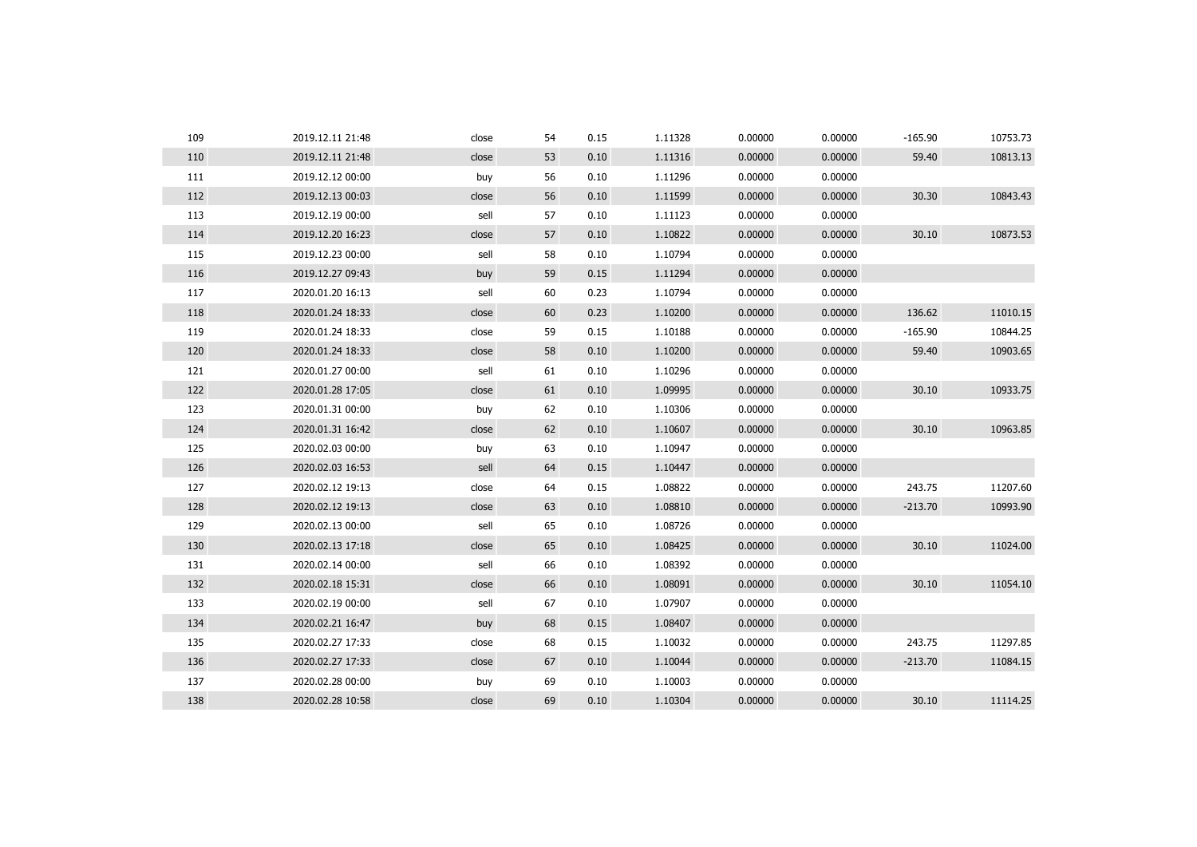| 109 | 2019.12.11 21:48 | close | 54 | 0.15 | 1.11328 | 0.00000 | 0.00000 | $-165.90$ | 10753.73 |
|-----|------------------|-------|----|------|---------|---------|---------|-----------|----------|
| 110 | 2019.12.11 21:48 | close | 53 | 0.10 | 1.11316 | 0.00000 | 0.00000 | 59.40     | 10813.13 |
| 111 | 2019.12.12 00:00 | buy   | 56 | 0.10 | 1.11296 | 0.00000 | 0.00000 |           |          |
| 112 | 2019.12.13 00:03 | close | 56 | 0.10 | 1.11599 | 0.00000 | 0.00000 | 30.30     | 10843.43 |
| 113 | 2019.12.19 00:00 | sell  | 57 | 0.10 | 1.11123 | 0.00000 | 0.00000 |           |          |
| 114 | 2019.12.20 16:23 | close | 57 | 0.10 | 1.10822 | 0.00000 | 0.00000 | 30.10     | 10873.53 |
| 115 | 2019.12.23 00:00 | sell  | 58 | 0.10 | 1.10794 | 0.00000 | 0.00000 |           |          |
| 116 | 2019.12.27 09:43 | buy   | 59 | 0.15 | 1.11294 | 0.00000 | 0.00000 |           |          |
| 117 | 2020.01.20 16:13 | sell  | 60 | 0.23 | 1.10794 | 0.00000 | 0.00000 |           |          |
| 118 | 2020.01.24 18:33 | close | 60 | 0.23 | 1.10200 | 0.00000 | 0.00000 | 136.62    | 11010.15 |
| 119 | 2020.01.24 18:33 | close | 59 | 0.15 | 1.10188 | 0.00000 | 0.00000 | $-165.90$ | 10844.25 |
| 120 | 2020.01.24 18:33 | close | 58 | 0.10 | 1.10200 | 0.00000 | 0.00000 | 59.40     | 10903.65 |
| 121 | 2020.01.27 00:00 | sell  | 61 | 0.10 | 1.10296 | 0.00000 | 0.00000 |           |          |
| 122 | 2020.01.28 17:05 | close | 61 | 0.10 | 1.09995 | 0.00000 | 0.00000 | 30.10     | 10933.75 |
| 123 | 2020.01.31 00:00 | buy   | 62 | 0.10 | 1.10306 | 0.00000 | 0.00000 |           |          |
| 124 | 2020.01.31 16:42 | close | 62 | 0.10 | 1.10607 | 0.00000 | 0.00000 | 30.10     | 10963.85 |
| 125 | 2020.02.03 00:00 | buy   | 63 | 0.10 | 1.10947 | 0.00000 | 0.00000 |           |          |
| 126 | 2020.02.03 16:53 | sell  | 64 | 0.15 | 1.10447 | 0.00000 | 0.00000 |           |          |
| 127 | 2020.02.12 19:13 | close | 64 | 0.15 | 1.08822 | 0.00000 | 0.00000 | 243.75    | 11207.60 |
| 128 | 2020.02.12 19:13 | close | 63 | 0.10 | 1.08810 | 0.00000 | 0.00000 | $-213.70$ | 10993.90 |
| 129 | 2020.02.13 00:00 | sell  | 65 | 0.10 | 1.08726 | 0.00000 | 0.00000 |           |          |
| 130 | 2020.02.13 17:18 | close | 65 | 0.10 | 1.08425 | 0.00000 | 0.00000 | 30.10     | 11024.00 |
| 131 | 2020.02.14 00:00 | sell  | 66 | 0.10 | 1.08392 | 0.00000 | 0.00000 |           |          |
| 132 | 2020.02.18 15:31 | close | 66 | 0.10 | 1.08091 | 0.00000 | 0.00000 | 30.10     | 11054.10 |
| 133 | 2020.02.19 00:00 | sell  | 67 | 0.10 | 1.07907 | 0.00000 | 0.00000 |           |          |
| 134 | 2020.02.21 16:47 | buy   | 68 | 0.15 | 1.08407 | 0.00000 | 0.00000 |           |          |
| 135 | 2020.02.27 17:33 | close | 68 | 0.15 | 1.10032 | 0.00000 | 0.00000 | 243.75    | 11297.85 |
| 136 | 2020.02.27 17:33 | close | 67 | 0.10 | 1.10044 | 0.00000 | 0.00000 | $-213.70$ | 11084.15 |
| 137 | 2020.02.28 00:00 | buy   | 69 | 0.10 | 1.10003 | 0.00000 | 0.00000 |           |          |
| 138 | 2020.02.28 10:58 | close | 69 | 0.10 | 1.10304 | 0.00000 | 0.00000 | 30.10     | 11114.25 |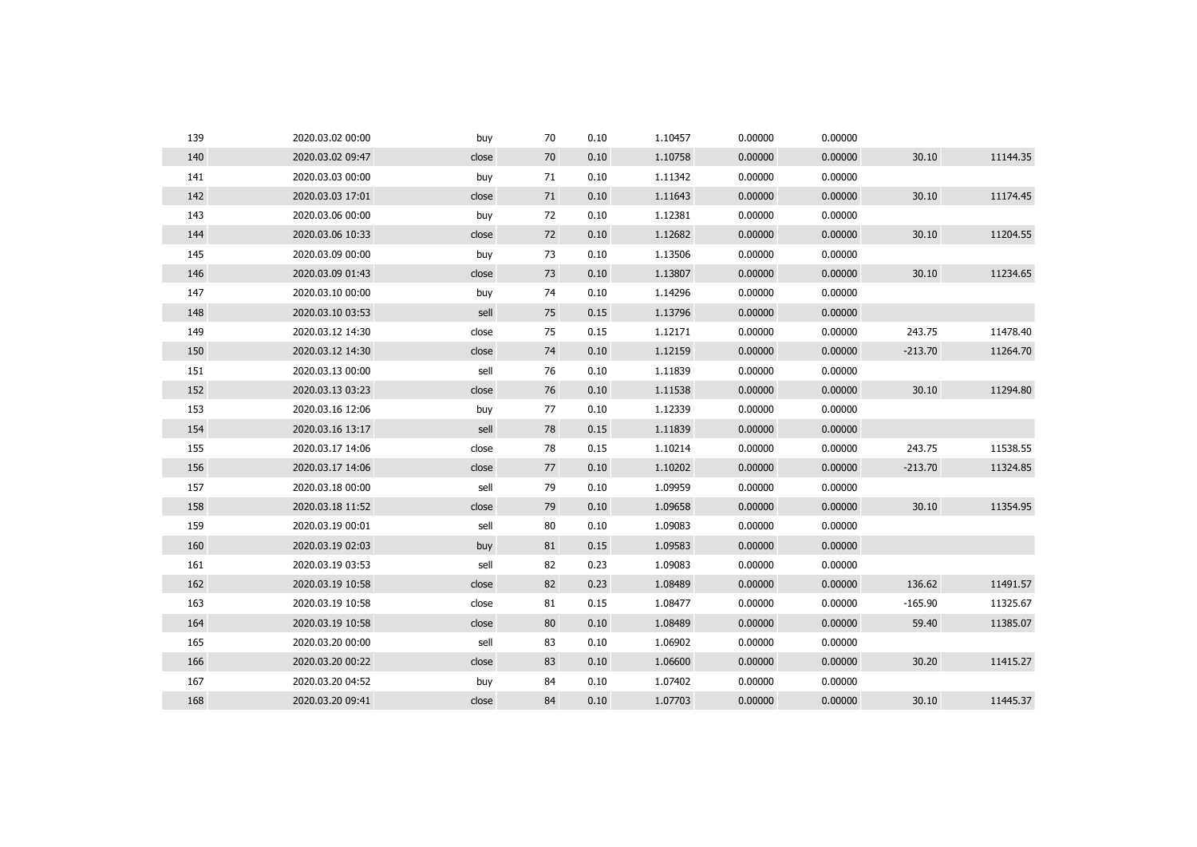| 139 | 2020.03.02 00:00 | buy   | 70 | 0.10 | 1.10457 | 0.00000 | 0.00000 |           |          |
|-----|------------------|-------|----|------|---------|---------|---------|-----------|----------|
| 140 | 2020.03.02 09:47 | close | 70 | 0.10 | 1.10758 | 0.00000 | 0.00000 | 30.10     | 11144.35 |
| 141 | 2020.03.03 00:00 | buy   | 71 | 0.10 | 1.11342 | 0.00000 | 0.00000 |           |          |
| 142 | 2020.03.03 17:01 | close | 71 | 0.10 | 1.11643 | 0.00000 | 0.00000 | 30.10     | 11174.45 |
| 143 | 2020.03.06 00:00 | buy   | 72 | 0.10 | 1.12381 | 0.00000 | 0.00000 |           |          |
| 144 | 2020.03.06 10:33 | close | 72 | 0.10 | 1.12682 | 0.00000 | 0.00000 | 30.10     | 11204.55 |
| 145 | 2020.03.09 00:00 | buy   | 73 | 0.10 | 1.13506 | 0.00000 | 0.00000 |           |          |
| 146 | 2020.03.09 01:43 | close | 73 | 0.10 | 1.13807 | 0.00000 | 0.00000 | 30.10     | 11234.65 |
| 147 | 2020.03.10 00:00 | buy   | 74 | 0.10 | 1.14296 | 0.00000 | 0.00000 |           |          |
| 148 | 2020.03.10 03:53 | sell  | 75 | 0.15 | 1.13796 | 0.00000 | 0.00000 |           |          |
| 149 | 2020.03.12 14:30 | close | 75 | 0.15 | 1.12171 | 0.00000 | 0.00000 | 243.75    | 11478.40 |
| 150 | 2020.03.12 14:30 | close | 74 | 0.10 | 1.12159 | 0.00000 | 0.00000 | $-213.70$ | 11264.70 |
| 151 | 2020.03.13 00:00 | sell  | 76 | 0.10 | 1.11839 | 0.00000 | 0.00000 |           |          |
| 152 | 2020.03.13 03:23 | close | 76 | 0.10 | 1.11538 | 0.00000 | 0.00000 | 30.10     | 11294.80 |
| 153 | 2020.03.16 12:06 | buy   | 77 | 0.10 | 1.12339 | 0.00000 | 0.00000 |           |          |
| 154 | 2020.03.16 13:17 | sell  | 78 | 0.15 | 1.11839 | 0.00000 | 0.00000 |           |          |
| 155 | 2020.03.17 14:06 | close | 78 | 0.15 | 1.10214 | 0.00000 | 0.00000 | 243.75    | 11538.55 |
| 156 | 2020.03.17 14:06 | close | 77 | 0.10 | 1.10202 | 0.00000 | 0.00000 | $-213.70$ | 11324.85 |
| 157 | 2020.03.18 00:00 | sell  | 79 | 0.10 | 1.09959 | 0.00000 | 0.00000 |           |          |
| 158 | 2020.03.18 11:52 | close | 79 | 0.10 | 1.09658 | 0.00000 | 0.00000 | 30.10     | 11354.95 |
| 159 | 2020.03.19 00:01 | sell  | 80 | 0.10 | 1.09083 | 0.00000 | 0.00000 |           |          |
| 160 | 2020.03.19 02:03 | buy   | 81 | 0.15 | 1.09583 | 0.00000 | 0.00000 |           |          |
| 161 | 2020.03.19 03:53 | sell  | 82 | 0.23 | 1.09083 | 0.00000 | 0.00000 |           |          |
| 162 | 2020.03.19 10:58 | close | 82 | 0.23 | 1.08489 | 0.00000 | 0.00000 | 136.62    | 11491.57 |
| 163 | 2020.03.19 10:58 | close | 81 | 0.15 | 1.08477 | 0.00000 | 0.00000 | $-165.90$ | 11325.67 |
| 164 | 2020.03.19 10:58 | close | 80 | 0.10 | 1.08489 | 0.00000 | 0.00000 | 59.40     | 11385.07 |
| 165 | 2020.03.20 00:00 | sell  | 83 | 0.10 | 1.06902 | 0.00000 | 0.00000 |           |          |
| 166 | 2020.03.20 00:22 | close | 83 | 0.10 | 1.06600 | 0.00000 | 0.00000 | 30.20     | 11415.27 |
| 167 | 2020.03.20 04:52 | buy   | 84 | 0.10 | 1.07402 | 0.00000 | 0.00000 |           |          |
| 168 | 2020.03.20 09:41 | close | 84 | 0.10 | 1.07703 | 0.00000 | 0.00000 | 30.10     | 11445.37 |
|     |                  |       |    |      |         |         |         |           |          |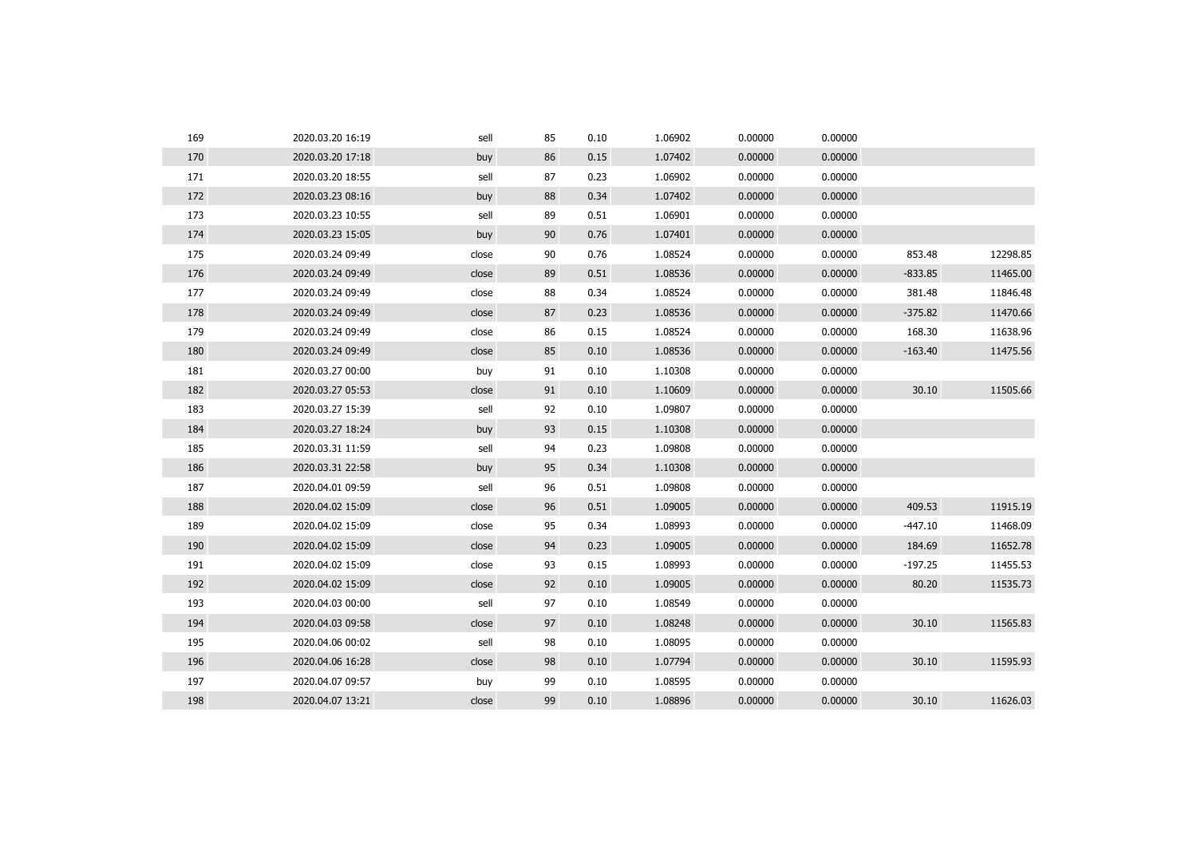| 169 | 2020.03.20 16:19 | sell  | 85 | 0.10 | 1.06902 | 0.00000 | 0.00000 |           |          |
|-----|------------------|-------|----|------|---------|---------|---------|-----------|----------|
| 170 | 2020.03.20 17:18 | buy   | 86 | 0.15 | 1.07402 | 0.00000 | 0.00000 |           |          |
| 171 | 2020.03.20 18:55 | sell  | 87 | 0.23 | 1.06902 | 0.00000 | 0.00000 |           |          |
| 172 | 2020.03.23 08:16 | buy   | 88 | 0.34 | 1.07402 | 0.00000 | 0.00000 |           |          |
| 173 | 2020.03.23 10:55 | sell  | 89 | 0.51 | 1.06901 | 0.00000 | 0.00000 |           |          |
| 174 | 2020.03.23 15:05 | buy   | 90 | 0.76 | 1.07401 | 0.00000 | 0.00000 |           |          |
| 175 | 2020.03.24 09:49 | close | 90 | 0.76 | 1.08524 | 0.00000 | 0.00000 | 853.48    | 12298.85 |
| 176 | 2020.03.24 09:49 | close | 89 | 0.51 | 1.08536 | 0.00000 | 0.00000 | $-833.85$ | 11465.00 |
| 177 | 2020.03.24 09:49 | close | 88 | 0.34 | 1.08524 | 0.00000 | 0.00000 | 381.48    | 11846.48 |
| 178 | 2020.03.24 09:49 | close | 87 | 0.23 | 1.08536 | 0.00000 | 0.00000 | $-375.82$ | 11470.66 |
| 179 | 2020.03.24 09:49 | close | 86 | 0.15 | 1.08524 | 0.00000 | 0.00000 | 168.30    | 11638.96 |
| 180 | 2020.03.24 09:49 | close | 85 | 0.10 | 1.08536 | 0.00000 | 0.00000 | $-163.40$ | 11475.56 |
| 181 | 2020.03.27 00:00 | buy   | 91 | 0.10 | 1.10308 | 0.00000 | 0.00000 |           |          |
| 182 | 2020.03.27 05:53 | close | 91 | 0.10 | 1.10609 | 0.00000 | 0.00000 | 30.10     | 11505.66 |
| 183 | 2020.03.27 15:39 | sell  | 92 | 0.10 | 1.09807 | 0.00000 | 0.00000 |           |          |
| 184 | 2020.03.27 18:24 | buy   | 93 | 0.15 | 1.10308 | 0.00000 | 0.00000 |           |          |
| 185 | 2020.03.31 11:59 | sell  | 94 | 0.23 | 1.09808 | 0.00000 | 0.00000 |           |          |
| 186 | 2020.03.31 22:58 | buy   | 95 | 0.34 | 1.10308 | 0.00000 | 0.00000 |           |          |
| 187 | 2020.04.01 09:59 | sell  | 96 | 0.51 | 1.09808 | 0.00000 | 0.00000 |           |          |
| 188 | 2020.04.02 15:09 | close | 96 | 0.51 | 1.09005 | 0.00000 | 0.00000 | 409.53    | 11915.19 |
| 189 | 2020.04.02 15:09 | close | 95 | 0.34 | 1.08993 | 0.00000 | 0.00000 | $-447.10$ | 11468.09 |
| 190 | 2020.04.02 15:09 | close | 94 | 0.23 | 1.09005 | 0.00000 | 0.00000 | 184.69    | 11652.78 |
| 191 | 2020.04.02 15:09 | close | 93 | 0.15 | 1.08993 | 0.00000 | 0.00000 | $-197.25$ | 11455.53 |
| 192 | 2020.04.02 15:09 | close | 92 | 0.10 | 1.09005 | 0.00000 | 0.00000 | 80.20     | 11535.73 |
| 193 | 2020.04.03 00:00 | sell  | 97 | 0.10 | 1.08549 | 0.00000 | 0.00000 |           |          |
| 194 | 2020.04.03 09:58 | close | 97 | 0.10 | 1.08248 | 0.00000 | 0.00000 | 30.10     | 11565.83 |
| 195 | 2020.04.06 00:02 | sell  | 98 | 0.10 | 1.08095 | 0.00000 | 0.00000 |           |          |
| 196 | 2020.04.06 16:28 | close | 98 | 0.10 | 1.07794 | 0.00000 | 0.00000 | 30.10     | 11595.93 |
| 197 | 2020.04.07 09:57 | buy   | 99 | 0.10 | 1.08595 | 0.00000 | 0.00000 |           |          |
| 198 | 2020.04.07 13:21 | close | 99 | 0.10 | 1.08896 | 0.00000 | 0.00000 | 30.10     | 11626.03 |
|     |                  |       |    |      |         |         |         |           |          |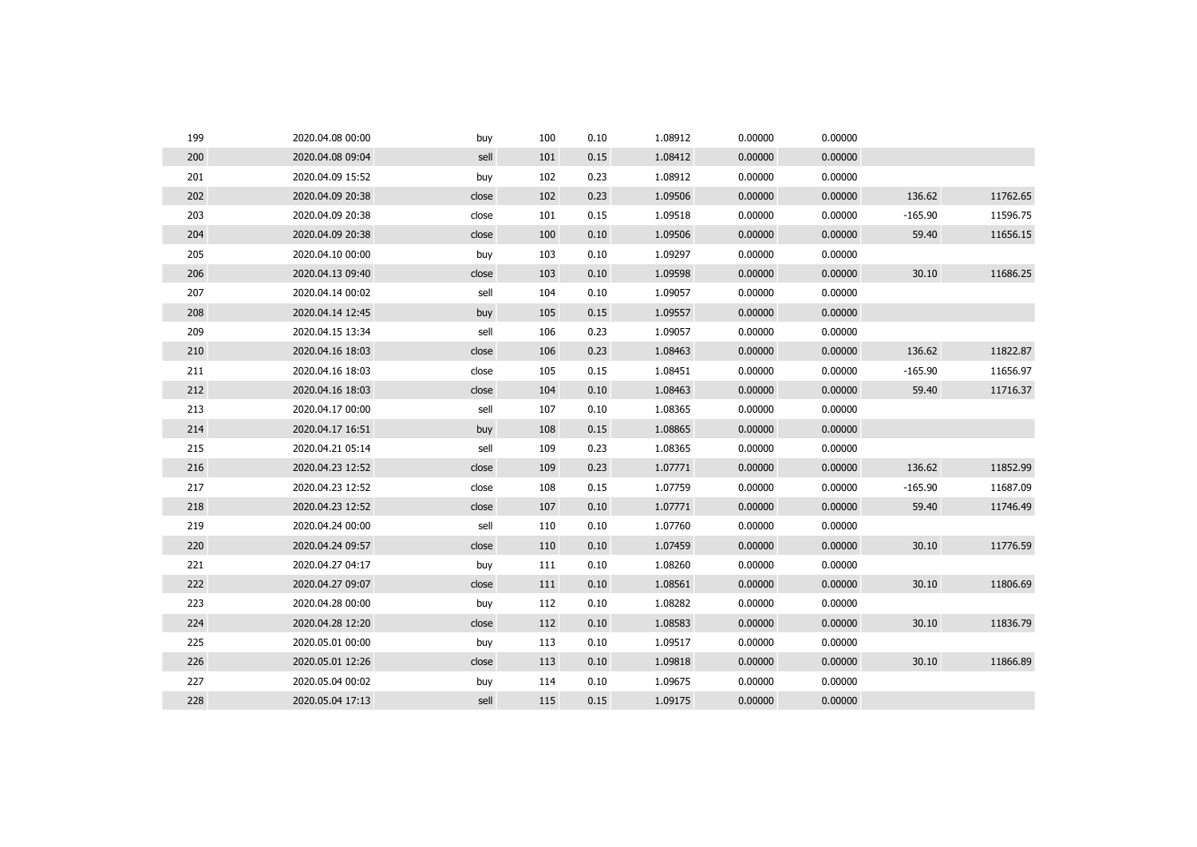| 199 | 2020.04.08 00:00 | buy   | 100 | 0.10 | 1.08912 | 0.00000 | 0.00000 |           |          |
|-----|------------------|-------|-----|------|---------|---------|---------|-----------|----------|
| 200 | 2020.04.08 09:04 | sell  | 101 | 0.15 | 1.08412 | 0.00000 | 0.00000 |           |          |
| 201 | 2020.04.09 15:52 | buy   | 102 | 0.23 | 1.08912 | 0.00000 | 0.00000 |           |          |
| 202 | 2020.04.09 20:38 | close | 102 | 0.23 | 1.09506 | 0.00000 | 0.00000 | 136.62    | 11762.65 |
| 203 | 2020.04.09 20:38 | close | 101 | 0.15 | 1.09518 | 0.00000 | 0.00000 | $-165.90$ | 11596.75 |
| 204 | 2020.04.09 20:38 | close | 100 | 0.10 | 1.09506 | 0.00000 | 0.00000 | 59.40     | 11656.15 |
| 205 | 2020.04.10 00:00 | buy   | 103 | 0.10 | 1.09297 | 0.00000 | 0.00000 |           |          |
| 206 | 2020.04.13 09:40 | close | 103 | 0.10 | 1.09598 | 0.00000 | 0.00000 | 30.10     | 11686.25 |
| 207 | 2020.04.14 00:02 | sell  | 104 | 0.10 | 1.09057 | 0.00000 | 0.00000 |           |          |
| 208 | 2020.04.14 12:45 | buy   | 105 | 0.15 | 1.09557 | 0.00000 | 0.00000 |           |          |
| 209 | 2020.04.15 13:34 | sell  | 106 | 0.23 | 1.09057 | 0.00000 | 0.00000 |           |          |
| 210 | 2020.04.16 18:03 | close | 106 | 0.23 | 1.08463 | 0.00000 | 0.00000 | 136.62    | 11822.87 |
| 211 | 2020.04.16 18:03 | close | 105 | 0.15 | 1.08451 | 0.00000 | 0.00000 | $-165.90$ | 11656.97 |
| 212 | 2020.04.16 18:03 | close | 104 | 0.10 | 1.08463 | 0.00000 | 0.00000 | 59.40     | 11716.37 |
| 213 | 2020.04.17 00:00 | sell  | 107 | 0.10 | 1.08365 | 0.00000 | 0.00000 |           |          |
| 214 | 2020.04.17 16:51 | buy   | 108 | 0.15 | 1.08865 | 0.00000 | 0.00000 |           |          |
| 215 | 2020.04.21 05:14 | sell  | 109 | 0.23 | 1.08365 | 0.00000 | 0.00000 |           |          |
| 216 | 2020.04.23 12:52 | close | 109 | 0.23 | 1.07771 | 0.00000 | 0.00000 | 136.62    | 11852.99 |
| 217 | 2020.04.23 12:52 | close | 108 | 0.15 | 1.07759 | 0.00000 | 0.00000 | $-165.90$ | 11687.09 |
| 218 | 2020.04.23 12:52 | close | 107 | 0.10 | 1.07771 | 0.00000 | 0.00000 | 59.40     | 11746.49 |
| 219 | 2020.04.24 00:00 | sell  | 110 | 0.10 | 1.07760 | 0.00000 | 0.00000 |           |          |
| 220 | 2020.04.24 09:57 | close | 110 | 0.10 | 1.07459 | 0.00000 | 0.00000 | 30.10     | 11776.59 |
| 221 | 2020.04.27 04:17 | buy   | 111 | 0.10 | 1.08260 | 0.00000 | 0.00000 |           |          |
| 222 | 2020.04.27 09:07 | close | 111 | 0.10 | 1.08561 | 0.00000 | 0.00000 | 30.10     | 11806.69 |
| 223 | 2020.04.28 00:00 | buy   | 112 | 0.10 | 1.08282 | 0.00000 | 0.00000 |           |          |
| 224 | 2020.04.28 12:20 | close | 112 | 0.10 | 1.08583 | 0.00000 | 0.00000 | 30.10     | 11836.79 |
| 225 | 2020.05.01 00:00 | buy   | 113 | 0.10 | 1.09517 | 0.00000 | 0.00000 |           |          |
| 226 | 2020.05.01 12:26 | close | 113 | 0.10 | 1.09818 | 0.00000 | 0.00000 | 30.10     | 11866.89 |
| 227 | 2020.05.04 00:02 | buy   | 114 | 0.10 | 1.09675 | 0.00000 | 0.00000 |           |          |
| 228 | 2020.05.04 17:13 | sell  | 115 | 0.15 | 1.09175 | 0.00000 | 0.00000 |           |          |
|     |                  |       |     |      |         |         |         |           |          |